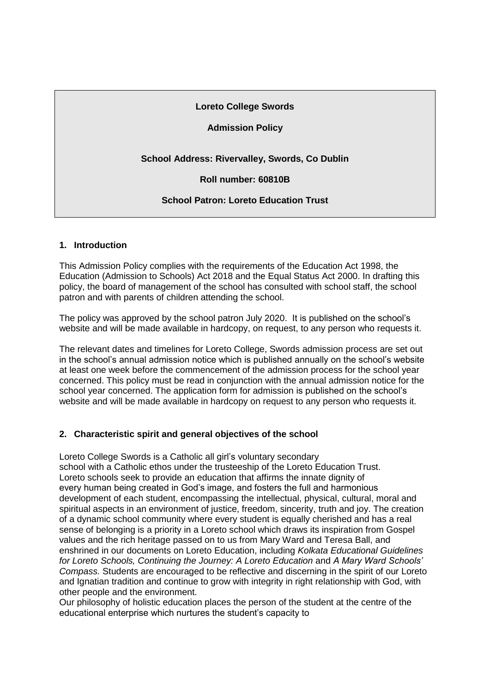## **Loreto College Swords**

# **Admission Policy**

# **School Address: Rivervalley, Swords, Co Dublin**

**Roll number: 60810B**

# **School Patron: Loreto Education Trust**

## **1. Introduction**

This Admission Policy complies with the requirements of the Education Act 1998, the Education (Admission to Schools) Act 2018 and the Equal Status Act 2000. In drafting this policy, the board of management of the school has consulted with school staff, the school patron and with parents of children attending the school.

The policy was approved by the school patron July 2020. It is published on the school's website and will be made available in hardcopy, on request, to any person who requests it.

The relevant dates and timelines for Loreto College, Swords admission process are set out in the school's annual admission notice which is published annually on the school's website at least one week before the commencement of the admission process for the school year concerned. This policy must be read in conjunction with the annual admission notice for the school year concerned. The application form for admission is published on the school's website and will be made available in hardcopy on request to any person who requests it.

## **2. Characteristic spirit and general objectives of the school**

Loreto College Swords is a Catholic all girl's voluntary secondary school with a Catholic ethos under the trusteeship of the Loreto Education Trust. Loreto schools seek to provide an education that affirms the innate dignity of every human being created in God's image, and fosters the full and harmonious development of each student, encompassing the intellectual, physical, cultural, moral and spiritual aspects in an environment of justice, freedom, sincerity, truth and joy. The creation of a dynamic school community where every student is equally cherished and has a real sense of belonging is a priority in a Loreto school which draws its inspiration from Gospel values and the rich heritage passed on to us from Mary Ward and Teresa Ball, and enshrined in our documents on Loreto Education, including *Kolkata Educational Guidelines for Loreto Schools, Continuing the Journey: A Loreto Education* and *A Mary Ward Schools' Compass.* Students are encouraged to be reflective and discerning in the spirit of our Loreto and Ignatian tradition and continue to grow with integrity in right relationship with God, with other people and the environment.

Our philosophy of holistic education places the person of the student at the centre of the educational enterprise which nurtures the student's capacity to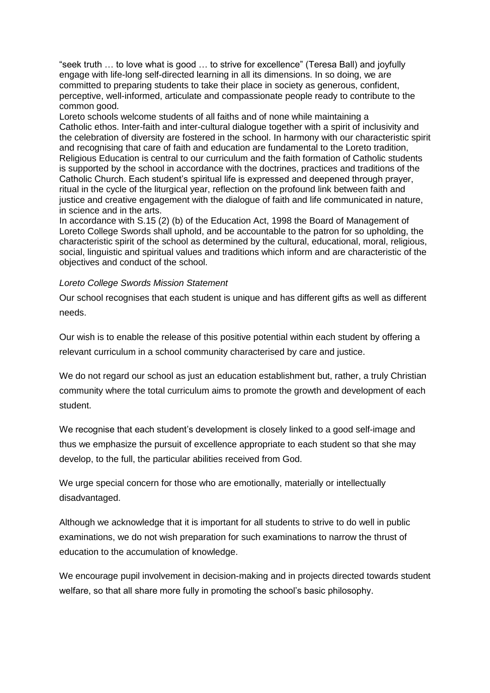"seek truth … to love what is good … to strive for excellence" (Teresa Ball) and joyfully engage with life-long self-directed learning in all its dimensions. In so doing, we are committed to preparing students to take their place in society as generous, confident, perceptive, well-informed, articulate and compassionate people ready to contribute to the common good.

Loreto schools welcome students of all faiths and of none while maintaining a Catholic ethos. Inter-faith and inter-cultural dialogue together with a spirit of inclusivity and the celebration of diversity are fostered in the school. In harmony with our characteristic spirit and recognising that care of faith and education are fundamental to the Loreto tradition, Religious Education is central to our curriculum and the faith formation of Catholic students is supported by the school in accordance with the doctrines, practices and traditions of the Catholic Church. Each student's spiritual life is expressed and deepened through prayer, ritual in the cycle of the liturgical year, reflection on the profound link between faith and justice and creative engagement with the dialogue of faith and life communicated in nature, in science and in the arts.

In accordance with S.15 (2) (b) of the Education Act, 1998 the Board of Management of Loreto College Swords shall uphold, and be accountable to the patron for so upholding, the characteristic spirit of the school as determined by the cultural, educational, moral, religious, social, linguistic and spiritual values and traditions which inform and are characteristic of the objectives and conduct of the school.

#### *Loreto College Swords Mission Statement*

Our school recognises that each student is unique and has different gifts as well as different needs.

Our wish is to enable the release of this positive potential within each student by offering a relevant curriculum in a school community characterised by care and justice.

We do not regard our school as just an education establishment but, rather, a truly Christian community where the total curriculum aims to promote the growth and development of each student.

We recognise that each student's development is closely linked to a good self-image and thus we emphasize the pursuit of excellence appropriate to each student so that she may develop, to the full, the particular abilities received from God.

We urge special concern for those who are emotionally, materially or intellectually disadvantaged.

Although we acknowledge that it is important for all students to strive to do well in public examinations, we do not wish preparation for such examinations to narrow the thrust of education to the accumulation of knowledge.

We encourage pupil involvement in decision-making and in projects directed towards student welfare, so that all share more fully in promoting the school's basic philosophy.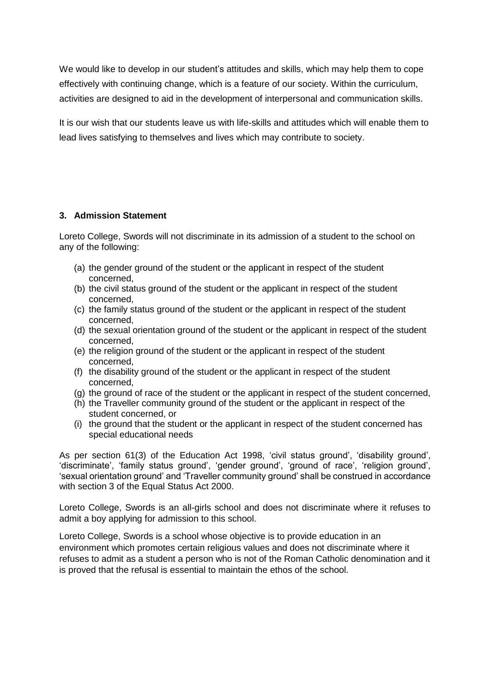We would like to develop in our student's attitudes and skills, which may help them to cope effectively with continuing change, which is a feature of our society. Within the curriculum, activities are designed to aid in the development of interpersonal and communication skills.

It is our wish that our students leave us with life-skills and attitudes which will enable them to lead lives satisfying to themselves and lives which may contribute to society.

## **3. Admission Statement**

Loreto College, Swords will not discriminate in its admission of a student to the school on any of the following:

- (a) the gender ground of the student or the applicant in respect of the student concerned,
- (b) the civil status ground of the student or the applicant in respect of the student concerned,
- (c) the family status ground of the student or the applicant in respect of the student concerned,
- (d) the sexual orientation ground of the student or the applicant in respect of the student concerned,
- (e) the religion ground of the student or the applicant in respect of the student concerned,
- (f) the disability ground of the student or the applicant in respect of the student concerned,
- (g) the ground of race of the student or the applicant in respect of the student concerned,
- (h) the Traveller community ground of the student or the applicant in respect of the student concerned, or
- (i) the ground that the student or the applicant in respect of the student concerned has special educational needs

As per section 61(3) of the Education Act 1998, 'civil status ground', 'disability ground', 'discriminate', 'family status ground', 'gender ground', 'ground of race', 'religion ground', 'sexual orientation ground' and 'Traveller community ground' shall be construed in accordance with section 3 of the Equal Status Act 2000.

Loreto College, Swords is an all-girls school and does not discriminate where it refuses to admit a boy applying for admission to this school.

Loreto College, Swords is a school whose objective is to provide education in an environment which promotes certain religious values and does not discriminate where it refuses to admit as a student a person who is not of the Roman Catholic denomination and it is proved that the refusal is essential to maintain the ethos of the school.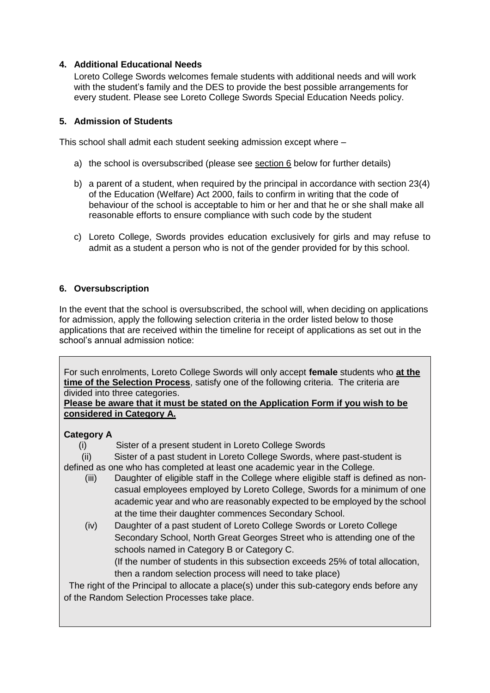# **4. Additional Educational Needs**

Loreto College Swords welcomes female students with additional needs and will work with the student's family and the DES to provide the best possible arrangements for every student. Please see Loreto College Swords Special Education Needs policy.

## **5. Admission of Students**

This school shall admit each student seeking admission except where –

- a) the school is oversubscribed (please see section 6 below for further details)
- b) a parent of a student, when required by the principal in accordance with section 23(4) of the Education (Welfare) Act 2000, fails to confirm in writing that the code of behaviour of the school is acceptable to him or her and that he or she shall make all reasonable efforts to ensure compliance with such code by the student
- c) Loreto College, Swords provides education exclusively for girls and may refuse to admit as a student a person who is not of the gender provided for by this school.

# **6. Oversubscription**

In the event that the school is oversubscribed, the school will, when deciding on applications for admission, apply the following selection criteria in the order listed below to those applications that are received within the timeline for receipt of applications as set out in the school's annual admission notice:

For such enrolments, Loreto College Swords will only accept **female** students who **at the time of the Selection Process**, satisfy one of the following criteria. The criteria are divided into three categories.

**Please be aware that it must be stated on the Application Form if you wish to be considered in Category A.** 

## **Category A**

(i) Sister of a present student in Loreto College Swords

 (ii) Sister of a past student in Loreto College Swords, where past-student is defined as one who has completed at least one academic year in the College.

- (iii) Daughter of eligible staff in the College where eligible staff is defined as noncasual employees employed by Loreto College, Swords for a minimum of one academic year and who are reasonably expected to be employed by the school at the time their daughter commences Secondary School.
- (iv) Daughter of a past student of Loreto College Swords or Loreto College Secondary School, North Great Georges Street who is attending one of the schools named in Category B or Category C. (If the number of students in this subsection exceeds 25% of total allocation,

then a random selection process will need to take place) The right of the Principal to allocate a place(s) under this sub-category ends before any of the Random Selection Processes take place.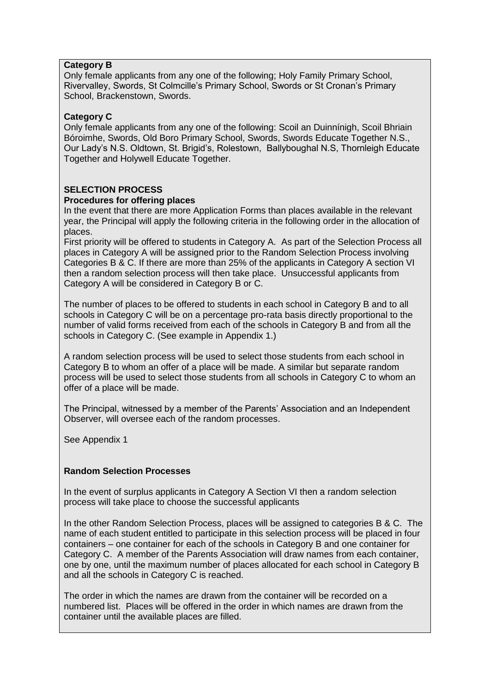# **Category B**

Only female applicants from any one of the following; Holy Family Primary School, Rivervalley, Swords, St Colmcille's Primary School, Swords or St Cronan's Primary School, Brackenstown, Swords.

# **Category C**

Only female applicants from any one of the following: Scoil an Duinnínigh, Scoil Bhriain Bóroimhe, Swords, Old Boro Primary School, Swords, Swords Educate Together N.S., Our Lady's N.S. Oldtown, St. Brigid's, Rolestown, Ballyboughal N.S, Thornleigh Educate Together and Holywell Educate Together.

# **SELECTION PROCESS**

## **Procedures for offering places**

In the event that there are more Application Forms than places available in the relevant year, the Principal will apply the following criteria in the following order in the allocation of places.

First priority will be offered to students in Category A. As part of the Selection Process all places in Category A will be assigned prior to the Random Selection Process involving Categories B & C. If there are more than 25% of the applicants in Category A section VI then a random selection process will then take place. Unsuccessful applicants from Category A will be considered in Category B or C.

The number of places to be offered to students in each school in Category B and to all schools in Category C will be on a percentage pro-rata basis directly proportional to the number of valid forms received from each of the schools in Category B and from all the schools in Category C. (See example in Appendix 1.)

A random selection process will be used to select those students from each school in Category B to whom an offer of a place will be made. A similar but separate random process will be used to select those students from all schools in Category C to whom an offer of a place will be made.

The Principal, witnessed by a member of the Parents' Association and an Independent Observer, will oversee each of the random processes.

See Appendix 1

## **Random Selection Processes**

In the event of surplus applicants in Category A Section VI then a random selection process will take place to choose the successful applicants

In the other Random Selection Process, places will be assigned to categories B & C. The name of each student entitled to participate in this selection process will be placed in four containers – one container for each of the schools in Category B and one container for Category C. A member of the Parents Association will draw names from each container, one by one, until the maximum number of places allocated for each school in Category B and all the schools in Category C is reached.

The order in which the names are drawn from the container will be recorded on a numbered list. Places will be offered in the order in which names are drawn from the container until the available places are filled.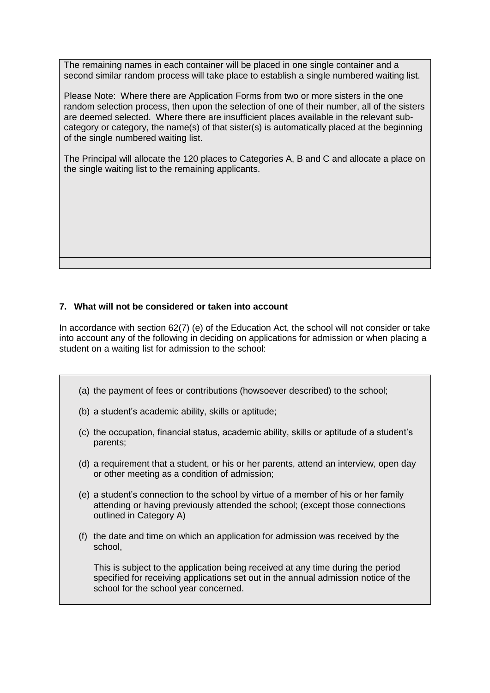The remaining names in each container will be placed in one single container and a second similar random process will take place to establish a single numbered waiting list.

Please Note: Where there are Application Forms from two or more sisters in the one random selection process, then upon the selection of one of their number, all of the sisters are deemed selected. Where there are insufficient places available in the relevant subcategory or category, the name(s) of that sister(s) is automatically placed at the beginning of the single numbered waiting list.

The Principal will allocate the 120 places to Categories A, B and C and allocate a place on the single waiting list to the remaining applicants.

## **7. What will not be considered or taken into account**

In accordance with section 62(7) (e) of the Education Act, the school will not consider or take into account any of the following in deciding on applications for admission or when placing a student on a waiting list for admission to the school:

- (a) the payment of fees or contributions (howsoever described) to the school;
- (b) a student's academic ability, skills or aptitude;
- (c) the occupation, financial status, academic ability, skills or aptitude of a student's parents;
- (d) a requirement that a student, or his or her parents, attend an interview, open day or other meeting as a condition of admission;
- (e) a student's connection to the school by virtue of a member of his or her family attending or having previously attended the school; (except those connections outlined in Category A)
- (f) the date and time on which an application for admission was received by the school,

This is subject to the application being received at any time during the period specified for receiving applications set out in the annual admission notice of the school for the school year concerned.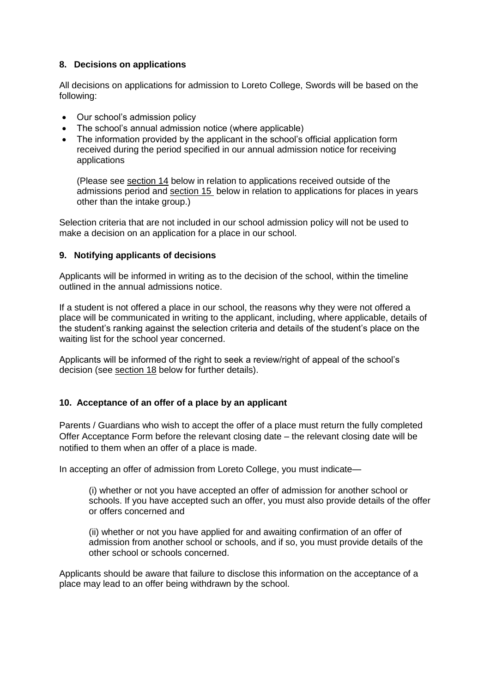# **8. Decisions on applications**

All decisions on applications for admission to Loreto College, Swords will be based on the following:

- Our school's admission policy
- The school's annual admission notice (where applicable)
- The information provided by the applicant in the school's official application form received during the period specified in our annual admission notice for receiving applications

(Please see [section 14](#page-8-0) below in relation to applications received outside of the admissions period and [section 15](#page-10-0) below in relation to applications for places in years other than the intake group.)

Selection criteria that are not included in our school admission policy will not be used to make a decision on an application for a place in our school.

# **9. Notifying applicants of decisions**

Applicants will be informed in writing as to the decision of the school, within the timeline outlined in the annual admissions notice.

If a student is not offered a place in our school, the reasons why they were not offered a place will be communicated in writing to the applicant, including, where applicable, details of the student's ranking against the selection criteria and details of the student's place on the waiting list for the school year concerned.

Applicants will be informed of the right to seek a review/right of appeal of the school's decision (see [section 18](#page-11-0) below for further details).

# <span id="page-6-0"></span>**10. Acceptance of an offer of a place by an applicant**

Parents / Guardians who wish to accept the offer of a place must return the fully completed Offer Acceptance Form before the relevant closing date – the relevant closing date will be notified to them when an offer of a place is made.

In accepting an offer of admission from Loreto College, you must indicate—

(i) whether or not you have accepted an offer of admission for another school or schools. If you have accepted such an offer, you must also provide details of the offer or offers concerned and

(ii) whether or not you have applied for and awaiting confirmation of an offer of admission from another school or schools, and if so, you must provide details of the other school or schools concerned.

Applicants should be aware that failure to disclose this information on the acceptance of a place may lead to an offer being withdrawn by the school.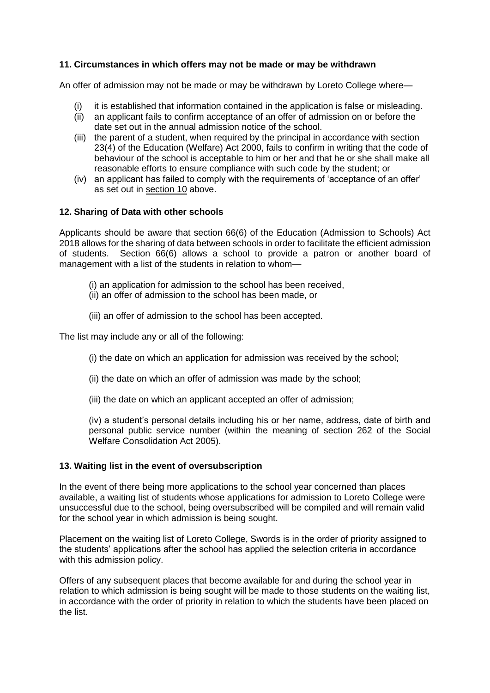# **11. Circumstances in which offers may not be made or may be withdrawn**

An offer of admission may not be made or may be withdrawn by Loreto College where—

- (i) it is established that information contained in the application is false or misleading.
- (ii) an applicant fails to confirm acceptance of an offer of admission on or before the date set out in the annual admission notice of the school.
- (iii) the parent of a student, when required by the principal in accordance with section 23(4) of the Education (Welfare) Act 2000, fails to confirm in writing that the code of behaviour of the school is acceptable to him or her and that he or she shall make all reasonable efforts to ensure compliance with such code by the student; or
- (iv) an applicant has failed to comply with the requirements of 'acceptance of an offer' as set out in [section 10](#page-6-0) above.

## **12. Sharing of Data with other schools**

Applicants should be aware that section 66(6) of the Education (Admission to Schools) Act 2018 allows for the sharing of data between schools in order to facilitate the efficient admission of students. Section 66(6) allows a school to provide a patron or another board of management with a list of the students in relation to whom—

- (i) an application for admission to the school has been received,
- (ii) an offer of admission to the school has been made, or
- (iii) an offer of admission to the school has been accepted.

The list may include any or all of the following:

- (i) the date on which an application for admission was received by the school;
- (ii) the date on which an offer of admission was made by the school;
- (iii) the date on which an applicant accepted an offer of admission;

(iv) a student's personal details including his or her name, address, date of birth and personal public service number (within the meaning of section 262 of the Social Welfare Consolidation Act 2005).

## **13. Waiting list in the event of oversubscription**

In the event of there being more applications to the school year concerned than places available, a waiting list of students whose applications for admission to Loreto College were unsuccessful due to the school, being oversubscribed will be compiled and will remain valid for the school year in which admission is being sought.

Placement on the waiting list of Loreto College, Swords is in the order of priority assigned to the students' applications after the school has applied the selection criteria in accordance with this admission policy.

Offers of any subsequent places that become available for and during the school year in relation to which admission is being sought will be made to those students on the waiting list, in accordance with the order of priority in relation to which the students have been placed on the list.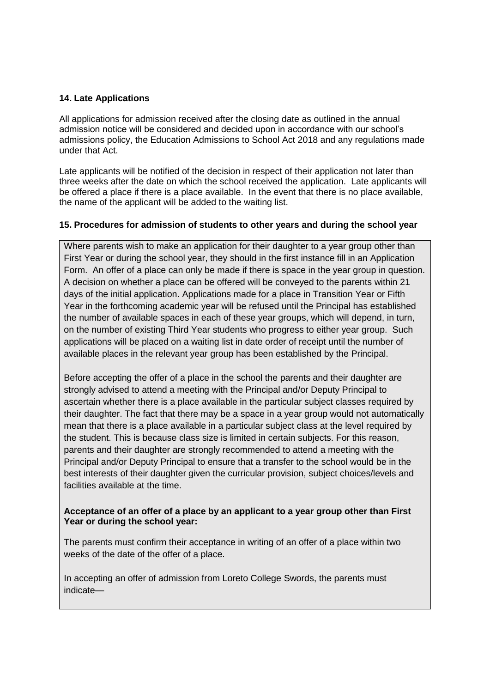## **14. Late Applications**

All applications for admission received after the closing date as outlined in the annual admission notice will be considered and decided upon in accordance with our school's admissions policy, the Education Admissions to School Act 2018 and any regulations made under that Act.

Late applicants will be notified of the decision in respect of their application not later than three weeks after the date on which the school received the application. Late applicants will be offered a place if there is a place available. In the event that there is no place available, the name of the applicant will be added to the waiting list.

## <span id="page-8-0"></span>**15. Procedures for admission of students to other years and during the school year**

Where parents wish to make an application for their daughter to a year group other than First Year or during the school year, they should in the first instance fill in an Application Form. An offer of a place can only be made if there is space in the year group in question. A decision on whether a place can be offered will be conveyed to the parents within 21 days of the initial application. Applications made for a place in Transition Year or Fifth Year in the forthcoming academic year will be refused until the Principal has established the number of available spaces in each of these year groups, which will depend, in turn, on the number of existing Third Year students who progress to either year group. Such applications will be placed on a waiting list in date order of receipt until the number of available places in the relevant year group has been established by the Principal.

Before accepting the offer of a place in the school the parents and their daughter are strongly advised to attend a meeting with the Principal and/or Deputy Principal to ascertain whether there is a place available in the particular subject classes required by their daughter. The fact that there may be a space in a year group would not automatically mean that there is a place available in a particular subject class at the level required by the student. This is because class size is limited in certain subjects. For this reason, parents and their daughter are strongly recommended to attend a meeting with the Principal and/or Deputy Principal to ensure that a transfer to the school would be in the best interests of their daughter given the curricular provision, subject choices/levels and facilities available at the time.

## **Acceptance of an offer of a place by an applicant to a year group other than First Year or during the school year:**

The parents must confirm their acceptance in writing of an offer of a place within two weeks of the date of the offer of a place.

In accepting an offer of admission from Loreto College Swords, the parents must indicate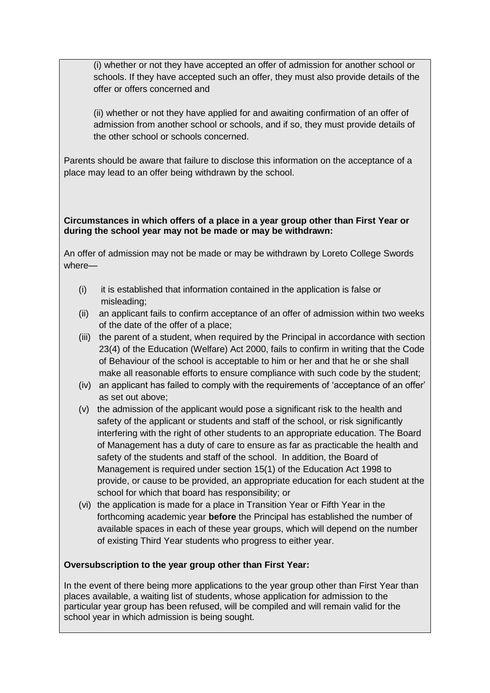(i) whether or not they have accepted an offer of admission for another school or schools. If they have accepted such an offer, they must also provide details of the offer or offers concerned and

(ii) whether or not they have applied for and awaiting confirmation of an offer of admission from another school or schools, and if so, they must provide details of the other school or schools concerned.

Parents should be aware that failure to disclose this information on the acceptance of a place may lead to an offer being withdrawn by the school.

# **Circumstances in which offers of a place in a year group other than First Year or during the school year may not be made or may be withdrawn:**

An offer of admission may not be made or may be withdrawn by Loreto College Swords where—

- (i) it is established that information contained in the application is false or misleading;
- (ii) an applicant fails to confirm acceptance of an offer of admission within two weeks of the date of the offer of a place;
- (iii) the parent of a student, when required by the Principal in accordance with section 23(4) of the Education (Welfare) Act 2000, fails to confirm in writing that the Code of Behaviour of the school is acceptable to him or her and that he or she shall make all reasonable efforts to ensure compliance with such code by the student;
- (iv) an applicant has failed to comply with the requirements of 'acceptance of an offer' as set out above;
- (v) the admission of the applicant would pose a significant risk to the health and safety of the applicant or students and staff of the school, or risk significantly interfering with the right of other students to an appropriate education. The Board of Management has a duty of care to ensure as far as practicable the health and safety of the students and staff of the school. In addition, the Board of Management is required under section 15(1) of the Education Act 1998 to provide, or cause to be provided, an appropriate education for each student at the school for which that board has responsibility; or
- (vi) the application is made for a place in Transition Year or Fifth Year in the forthcoming academic year **before** the Principal has established the number of available spaces in each of these year groups, which will depend on the number of existing Third Year students who progress to either year.

# **Oversubscription to the year group other than First Year:**

In the event of there being more applications to the year group other than First Year than places available, a waiting list of students, whose application for admission to the particular year group has been refused, will be compiled and will remain valid for the school year in which admission is being sought.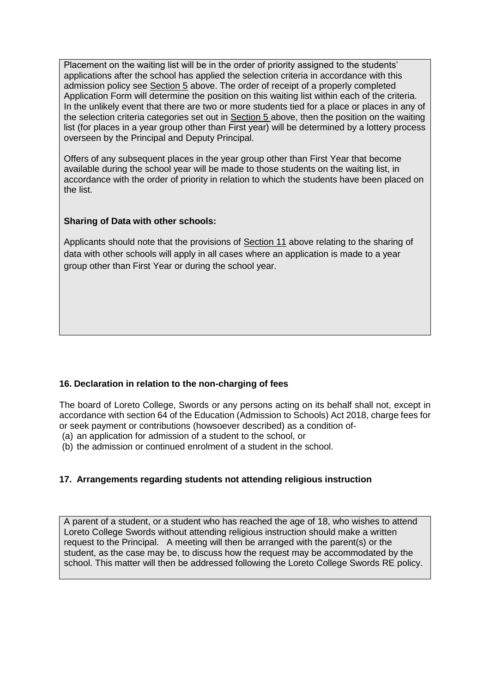Placement on the waiting list will be in the order of priority assigned to the students' applications after the school has applied the selection criteria in accordance with this admission policy see Section 5 above. The order of receipt of a properly completed Application Form will determine the position on this waiting list within each of the criteria. In the unlikely event that there are two or more students tied for a place or places in any of the selection criteria categories set out in Section 5 above, then the position on the waiting list (for places in a year group other than First year) will be determined by a lottery process overseen by the Principal and Deputy Principal.

Offers of any subsequent places in the year group other than First Year that become available during the school year will be made to those students on the waiting list, in accordance with the order of priority in relation to which the students have been placed on the list.

# **Sharing of Data with other schools:**

Applicants should note that the provisions of Section 11 above relating to the sharing of data with other schools will apply in all cases where an application is made to a year group other than First Year or during the school year.

# <span id="page-10-0"></span>**16. Declaration in relation to the non-charging of fees**

The board of Loreto College, Swords or any persons acting on its behalf shall not, except in accordance with section 64 of the Education (Admission to Schools) Act 2018, charge fees for or seek payment or contributions (howsoever described) as a condition of-

- (a) an application for admission of a student to the school, or
- (b) the admission or continued enrolment of a student in the school.

# **17. Arrangements regarding students not attending religious instruction**

A parent of a student, or a student who has reached the age of 18, who wishes to attend Loreto College Swords without attending religious instruction should make a written request to the Principal. A meeting will then be arranged with the parent(s) or the student, as the case may be, to discuss how the request may be accommodated by the school. This matter will then be addressed following the Loreto College Swords RE policy.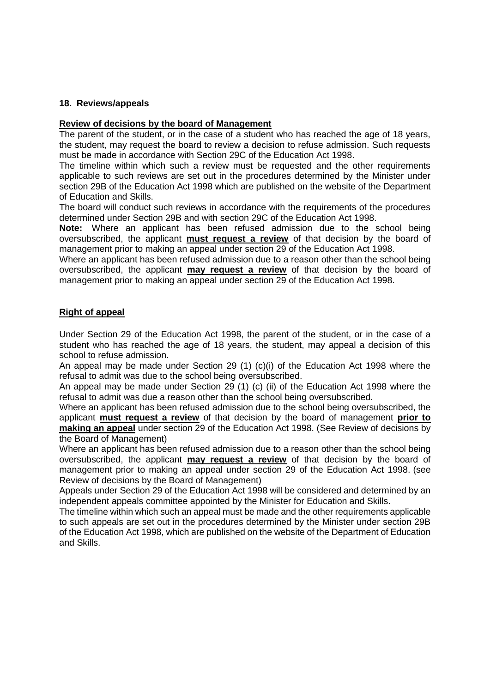# <span id="page-11-0"></span>**18. Reviews/appeals**

#### **Review of decisions by the board of Management**

The parent of the student, or in the case of a student who has reached the age of 18 years, the student, may request the board to review a decision to refuse admission. Such requests must be made in accordance with Section 29C of the Education Act 1998.

The timeline within which such a review must be requested and the other requirements applicable to such reviews are set out in the procedures determined by the Minister under section 29B of the Education Act 1998 which are published on the website of the Department of Education and Skills.

The board will conduct such reviews in accordance with the requirements of the procedures determined under Section 29B and with section 29C of the Education Act 1998.

**Note:** Where an applicant has been refused admission due to the school being oversubscribed, the applicant **must request a review** of that decision by the board of management prior to making an appeal under section 29 of the Education Act 1998.

Where an applicant has been refused admission due to a reason other than the school being oversubscribed, the applicant **may request a review** of that decision by the board of management prior to making an appeal under section 29 of the Education Act 1998.

## **Right of appeal**

Under Section 29 of the Education Act 1998, the parent of the student, or in the case of a student who has reached the age of 18 years, the student, may appeal a decision of this school to refuse admission.

An appeal may be made under Section 29 (1) (c)(i) of the Education Act 1998 where the refusal to admit was due to the school being oversubscribed.

An appeal may be made under Section 29 (1) (c) (ii) of the Education Act 1998 where the refusal to admit was due a reason other than the school being oversubscribed.

Where an applicant has been refused admission due to the school being oversubscribed, the applicant **must request a review** of that decision by the board of management **prior to making an appeal** under section 29 of the Education Act 1998. (See Review of decisions by the Board of Management)

Where an applicant has been refused admission due to a reason other than the school being oversubscribed, the applicant **may request a review** of that decision by the board of management prior to making an appeal under section 29 of the Education Act 1998. (see Review of decisions by the Board of Management)

Appeals under Section 29 of the Education Act 1998 will be considered and determined by an independent appeals committee appointed by the Minister for Education and Skills.

The timeline within which such an appeal must be made and the other requirements applicable to such appeals are set out in the procedures determined by the Minister under section 29B of the Education Act 1998, which are published on the website of the Department of Education and Skills.